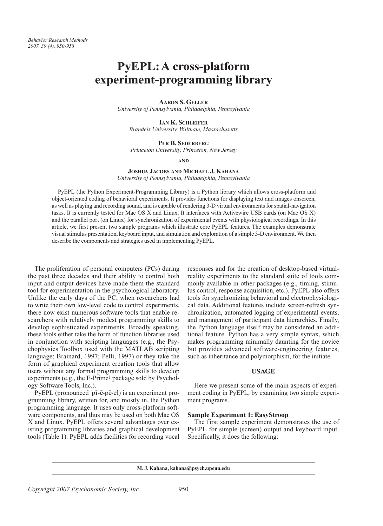# **PyEPL: A cross-platform experiment-programming library**

**AARON S. GELLER**

*University of Pennsylvania, Philadelphia, Pennsylvania*

**IAN K. SCHLEIFER** *Brandeis University, Waltham, Massachusetts*

# **PER B. SEDERBERG**

*Princeton University, Princeton, New Jersey*

#### **AND**

**JOSHUA JACOBS AND MICHAEL J. KAHANA**

*University of Pennsylvania, Philadelphia, Pennsylvania*

PyEPL (the Python Experiment-Programming Library) is a Python library which allows cross-platform and object-oriented coding of behavioral experiments. It provides functions for displaying text and images onscreen, as well as playing and recording sound, and is capable of rendering 3-D virtual environments for spatial-navigation tasks. It is currently tested for Mac OS X and Linux. It interfaces with Activewire USB cards (on Mac OS X) and the parallel port (on Linux) for synchronization of experimental events with physiological recordings. In this article, we first present two sample programs which illustrate core PyEPL features. The examples demonstrate visual stimulus presentation, keyboard input, and simulation and exploration of a simple 3-D environment. We then describe the components and strategies used in implementing PyEPL.

The proliferation of personal computers (PCs) during the past three decades and their ability to control both input and output devices have made them the standard tool for experimentation in the psychological laboratory. Unlike the early days of the PC, when researchers had to write their own low-level code to control experiments, there now exist numerous software tools that enable researchers with relatively modest programming skills to develop sophisticated experiments. Broadly speaking, these tools either take the form of function libraries used in conjunction with scripting languages (e.g., the Psychophysics Toolbox used with the MATLAB scripting language; Brainard, 1997; Pelli, 1997) or they take the form of graphical experiment creation tools that allow users without any formal programming skills to develop experiments (e.g., the E-Prime<sup>1</sup> package sold by Psychology Software Tools, Inc.).

 $PyEPL$  (pronounced 'p $\bar{P}$ - $\bar{E}$ -p $\bar{E}$ -el) is an experiment programming library, written for, and mostly in, the Python programming language. It uses only cross-platform software components, and thus may be used on both Mac OS X and Linux. PyEPL offers several advantages over existing programming libraries and graphical development tools (Table 1). PyEPL adds facilities for recording vocal responses and for the creation of desktop-based virtualreality experiments to the standard suite of tools commonly available in other packages (e.g., timing, stimulus control, response acquisition, etc.). PyEPL also offers tools for synchronizing behavioral and electrophysiological data. Additional features include screen-refresh synchronization, automated logging of experimental events, and management of participant data hierarchies. Finally, the Python language itself may be considered an additional feature. Python has a very simple syntax, which makes programming minimally daunting for the novice but provides advanced software-engineering features, such as inheritance and polymorphism, for the initiate.

# **USAGE**

Here we present some of the main aspects of experiment coding in PyEPL, by examining two simple experiment programs.

# **Sample Experiment 1: EasyStroop**

The first sample experiment demonstrates the use of PyEPL for simple (screen) output and keyboard input. Specifically, it does the following:

#### **M. J. Kahana, kahana@psych.upenn.edu**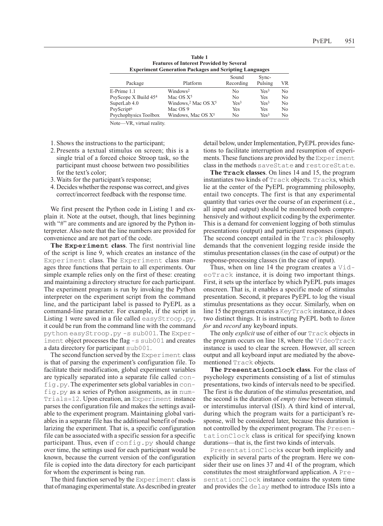**Table 1 Features of Interest Provided by Several Experiment Generation Packages and Scripting Languages**

| Package                          | Platform                  | Sound<br>Recording | Sync-<br>Pulsing | VR             |
|----------------------------------|---------------------------|--------------------|------------------|----------------|
|                                  |                           |                    |                  |                |
| E-Prime 1.1                      | Windows <sup>2</sup>      | No                 | Yes <sup>3</sup> | No             |
| PsyScope X Build 45 <sup>4</sup> | Mac OS $X^5$              | No                 | Yes              | N <sub>0</sub> |
| SuperLab 4.0                     | Windows, $2$ Mac OS $X^5$ | Yes <sup>3</sup>   | Yes <sup>3</sup> | N <sub>0</sub> |
| PsyScript <sup>6</sup>           | Mac OS 9                  | Yes                | Yes              | N <sub>0</sub> |
| Psychophysics Toolbox            | Windows, Mac OS $X^5$     | No                 | Yes <sup>3</sup> | No             |
|                                  |                           |                    |                  |                |

Note—VR, virtual reality.

- 1. Shows the instructions to the participant;
- 2. Presents a textual stimulus on screen; this is a single trial of a forced choice Stroop task, so the participant must choose between two possibilities for the text's color;
- 3.Waits for the participant's response;
- 4. Decides whether the response was correct, and gives correct/incorrect feedback with the response time.

We first present the Python code in Listing 1 and explain it. Note at the outset, though, that lines beginning with "#" are comments and are ignored by the Python interpreter. Also note that the line numbers are provided for convenience and are not part of the code.

**The Experiment class**. The first nontrivial line of the script is line 9, which creates an instance of the Experiment class. The Experiment class manages three functions that pertain to all experiments. Our simple example relies only on the first of these: creating and maintaining a directory structure for each participant. The experiment program is run by invoking the Python interpreter on the experiment script from the command line, and the participant label is passed to PyEPL as a command-line parameter. For example, if the script in Listing 1 were saved in a file called easyStroop.py, it could be run from the command line with the command python easyStroop.py -s sub001. The Experiment object processes the flag -s sub001 and creates a data directory for participant sub001.

The second function served by the Experiment class is that of parsing the experiment's configuration file. To facilitate their modification, global experiment variables are typically separated into a separate file called config. py. The experimenter sets global variables in  $con$ fig.py as a series of Python assignments, as in num-Trials=12. Upon creation, an Experiment instance parses the configuration file and makes the settings available to the experiment program. Maintaining global variables in a separate file has the additional benefit of modularizing the experiment. That is, a specific configuration file can be associated with a specific session for a specific participant. Thus, even if config.py should change over time, the settings used for each participant would be known, because the current version of the configuration file is copied into the data directory for each participant for whom the experiment is being run.

The third function served by the Experiment class is that of managing experimental state. As described in greater

detail below, under Implementation, PyEPL provides functions to facilitate interruption and resumption of experiments. These functions are provided by the Experiment class in the methods saveState and restoreState.

**The Track classes**. On lines 14 and 15, the program instantiates two kinds of Track objects. Tracks, which lie at the center of the PyEPL programming philosophy, entail two concepts. The first is that any experimental quantity that varies over the course of an experiment (i.e., all input and output) should be monitored both comprehensively and without explicit coding by the experimenter. This is a demand for convenient logging of both stimulus presentations (output) and participant responses (input). The second concept entailed in the Track philosophy demands that the convenient logging reside inside the stimulus presentation classes (in the case of output) or the response-processing classes (in the case of input).

Thus, when on line 14 the program creates a  $V \text{id}$ eoTrack instance, it is doing two important things. First, it sets up the interface by which PyEPL puts images onscreen. That is, it enables a specific mode of stimulus presentation. Second, it prepares PyEPL to log the visual stimulus presentations as they occur. Similarly, when on line 15 the program creates a KeyTrack instance, it does two distinct things. It is instructing PyEPL both to *listen for* and *record* any keyboard inputs.

The only *explicit* use of either of our Track objects in the program occurs on line 18, where the VideoTrack instance is used to clear the screen. However, all screen output and all keyboard input are mediated by the abovementioned Track objects.

**The PresentationClock class**. For the class of psychology experiments consisting of a list of stimulus presentations, two kinds of intervals need to be specified. The first is the duration of the stimulus presentation, and the second is the duration of *empty time* between stimuli, or interstimulus interval (ISI). A third kind of interval, during which the program waits for a participant's response, will be considered later, because this duration is not controlled by the experiment program. The PresentationClock class is critical for specifying known durations—that is, the first two kinds of intervals.

PresentationClocks occur both implicitly and explicitly in several parts of the program. Here we consider their use on lines 37 and 41 of the program, which constitutes the most straightforward application. A PresentationClock instance contains the system time and provides the delay method to introduce ISIs into a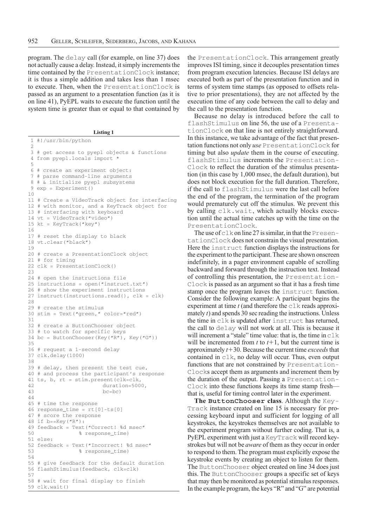program. The delay call (for example, on line 37) does not actually cause a delay. Instead, it simply increments the time contained by the PresentationClock instance; it is thus a simple addition and takes less than 1 msec to execute. Then, when the PresentationClock is passed as an argument to a presentation function (as it is on line 41), PyEPL waits to execute the function until the system time is greater than or equal to that contained by

#### **Listing 1**

```
1 #!/usr/bin/python
2
3 # get access to pyepl objects & functions
4 from pyepl.locals import *
5
6 # create an experiment object:
7 # parse command-line arguments
8 # & initialize pyepl subsystems
9 exp = Experiment()
10
11 # Create a VideoTrack object for interfacing
12 # with monitor, and a KeyTrack object for
13 # interfacing with keyboard
14 vt = VideoTrack("video")
15 kt = KeyTrack("key")
16
17 # reset the display to black
18 vt.clear("black")
19
20 # create a PresentationClock object
21 # for timing
22 clk = PresentationClock()
23
24 # open the instructions file
25 instructions = open("instruct.txt")
26 # show the experiment instructions
27 instruct(instructions.read(), clk = clk)
28
29 # create the stimulus
30 stim = Text("green," color="red")
31
32 # create a ButtonChooser object
33 # to watch for specific keys
34 bc = ButtonChooser(Key("R"), Key("G"))
35
36 # request a 1-second delay
37 clk.delay(1000)
38
39 # delay, then present the test cue,
40 # and process the participant's response
41 ts, b, rt = stim.present(clk=clk,
42 duration=5000,
43 bc=bc)
44
45 # time the response
46 response_time = rt[0]-ts[0]
47 # score the response
48 if b==Key("R"):
49 feedback = Text("Correct! %d msec"
50 % response_time)
51 else:
52 feedback = Text("Incorrect! %d msec"
53 % response_time)
54
55 # give feedback for the default duration
56 flashStimulus(feedback, clk=clk)
57
58 # wait for final display to finish
59 clk.wait()
```
the PresentationClock. This arrangement greatly improves ISI timing, since it decouples presentation times from program execution latencies. Because ISI delays are executed both as part of the presentation function and in terms of system time stamps (as opposed to offsets relative to prior presentations), they are not affected by the execution time of any code between the call to delay and the call to the presentation function.

Because no delay is introduced before the call to flashStimulus on line 56, the use of a PresentationClock on that line is not entirely straightforward. In this instance, we take advantage of the fact that presentation functions not only *use* PresentationClock for timing but also *update* them in the course of executing. flashStimulus increments the Presentation-Clock to reflect the duration of the stimulus presentation (in this case by 1,000 msec, the default duration), but does not block execution for the full duration. Therefore, if the call to flashStimulus were the last call before the end of the program, the termination of the program would prematurely cut off the stimulus. We prevent this by calling  $clk$ . wait, which actually blocks execution until the actual time catches up with the time on the PresentationClock.

The use of  $c1k$  on line 27 is similar, in that the PresentationClock does not constrain the visual presentation. Here the instruct function displays the instructions for the experiment to the participant. These are shown onscreen indefinitely, in a pager environment capable of scrolling backward and forward through the instruction text. Instead of controlling this presentation, the Presentation-Clock is passed as an argument so that it has a fresh time stamp once the program leaves the instruct function. Consider the following example: A participant begins the experiment at time  $t$  (and therefore the  $c \perp k$  reads approximately *t*) and spends 30 sec reading the instructions. Unless the time in clk is updated after instruct has returned, the call to delay will not work at all. This is because it will increment a "stale" time value: that is, the time in  $c1k$ will be incremented from  $t$  to  $t+1$ , but the current time is approximately  $t+30$ . Because the current time *exceeds* that contained in  $c1k$ , no delay will occur. Thus, even output functions that are not constrained by Presentation-Clocks accept them as arguments and increment them by the duration of the output. Passing a Presentation-Clock into these functions keeps its time stamp fresh that is, useful for timing control later in the experiment.

**The ButtonChooser class**. Although the Key-Track instance created on line 15 is necessary for processing keyboard input and sufficient for logging of all keystrokes, the keystrokes themselves are not available to the experiment program without further coding. That is, a PyEPL experiment with just a KeyTrack will record keystrokes but will not be *aware* of them as they occur in order to respond to them. The program must explicitly expose the keystroke events by creating an object to listen for them. The ButtonChooser object created on line 34 does just this. The ButtonChooser groups a specific set of keys that may then be monitored as potential stimulus responses. In the example program, the keys "R" and "G" are potential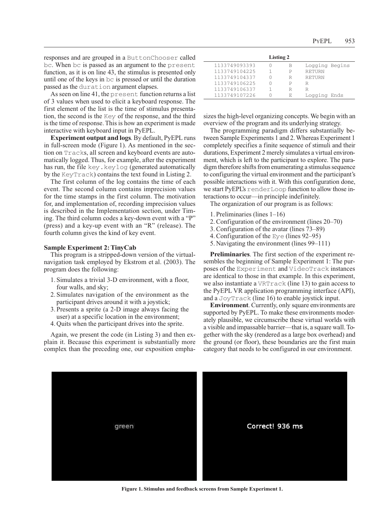responses and are grouped in a ButtonChooser called bc. When bc is passed as an argument to the present function, as it is on line 43, the stimulus is presented only until one of the keys in  $bc$  is pressed or until the duration passed as the duration argument elapses.

As seen on line 41, the present function returns a list of 3 values when used to elicit a keyboard response. The first element of the list is the time of stimulus presentation, the second is the Key of the response, and the third is the time of response. This is how an experiment is made interactive with keyboard input in PyEPL.

**Experiment output and logs**. By default, PyEPL runs in full-screen mode (Figure 1). As mentioned in the section on Tracks, all screen and keyboard events are automatically logged. Thus, for example, after the experiment has run, the file key. keylog (generated automatically by the KeyTrack) contains the text found in Listing 2.

The first column of the log contains the time of each event. The second column contains imprecision values for the time stamps in the first column. The motivation for, and implementation of, recording imprecision values is described in the Implementation section, under Timing. The third column codes a key-down event with a "P" (press) and a key-up event with an "R" (release). The fourth column gives the kind of key event.

# **Sample Experiment 2: TinyCab**

This program is a stripped-down version of the virtualnavigation task employed by Ekstrom et al. (2003). The program does the following:

- 1. Simulates a trivial 3-D environment, with a floor, four walls, and sky;
- 2. Simulates navigation of the environment as the participant drives around it with a joystick;
- 3. Presents a sprite (a 2-D image always facing the user) at a specific location in the environment;
- 4. Quits when the participant drives into the sprite.

Again, we present the code (in Listing 3) and then explain it. Because this experiment is substantially more complex than the preceding one, our exposition empha-

|               | Listing 2 |    |                |  |
|---------------|-----------|----|----------------|--|
| 1133749093393 |           |    | Logging Begins |  |
| 1133749104225 |           |    | <b>RETURN</b>  |  |
| 1133749104337 |           |    | <b>RETURN</b>  |  |
| 1133749106225 |           |    | R              |  |
| 1133749106337 |           |    | R              |  |
| 1133749107226 |           | F. | Logging Ends   |  |
|               |           |    |                |  |

sizes the high-level organizing concepts. We begin with an overview of the program and its underlying strategy.

The programming paradigm differs substantially between Sample Experiments 1 and 2. Whereas Experiment 1 completely specifies a finite sequence of stimuli and their durations, Experiment 2 merely simulates a virtual environment, which is left to the participant to explore. The paradigm therefore shifts from enumerating a stimulus sequence to configuring the virtual environment and the participant's possible interactions with it. With this configuration done, we start PyEPL's renderLoop function to allow those interactions to occur—in principle indefinitely.

The organization of our program is as follows:

- 1. Preliminaries (lines 1–16)
- 2.Configuration of the environment (lines 20–70)
- 3.Configuration of the avatar (lines 73–89)
- 4.Configuration of the Eye (lines 92–95)
- 5. Navigating the environment (lines 99–111)

**Preliminaries**. The first section of the experiment resembles the beginning of Sample Experiment 1: The purposes of the Experiment and VideoTrack instances are identical to those in that example. In this experiment, we also instantiate a VRTrack (line 13) to gain access to the PyEPL VR application programming interface (API), and a JoyTrack (line 16) to enable joystick input.

**Environment**. Currently, only square environments are supported by PyEPL. To make these environments moderately plausible, we circumscribe these virtual worlds with a visible and impassable barrier—that is, a square wall. Together with the sky (rendered as a large box overhead) and the ground (or floor), these boundaries are the first main category that needs to be configured in our environment.



**Figure 1. Stimulus and feedback screens from Sample Experiment 1.**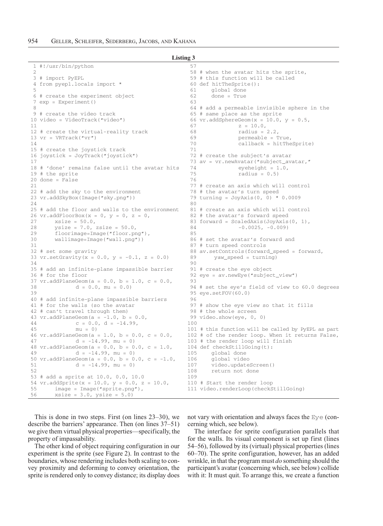|    | <b>Listing 3</b>                                                                 |     |                                                                               |  |  |  |
|----|----------------------------------------------------------------------------------|-----|-------------------------------------------------------------------------------|--|--|--|
|    | 1 #!/usr/bin/python                                                              | 57  |                                                                               |  |  |  |
| 2  |                                                                                  |     | 58 # when the avatar hits the sprite,                                         |  |  |  |
|    | 3 # import PyEPL                                                                 |     | 59 # this function will be called                                             |  |  |  |
|    | 4 from pyepl.locals import *                                                     |     | 60 def hitTheSprite():                                                        |  |  |  |
| 5  |                                                                                  | 61  | global done                                                                   |  |  |  |
|    | 6 # create the experiment object                                                 | 62  | $done = True$                                                                 |  |  |  |
| 8  | $7 exp = Experiment()$                                                           | 63  |                                                                               |  |  |  |
|    | 9 # create the video track                                                       |     | $64$ # add a permeable invisible sphere in the                                |  |  |  |
|    | $10$ video = VideoTrack("video")                                                 |     | 65 # same place as the sprite<br>66 vr.addSphereGeom(x = $10.0$ , y = $0.5$ , |  |  |  |
| 11 |                                                                                  | 67  | $z = 10.0$ ,                                                                  |  |  |  |
|    | 12 # create the virtual-reality track                                            | 68  | radius = $2.2$ ,                                                              |  |  |  |
|    | 13 $vr = VRTrack("vr")$                                                          | 69  | $permeable = True,$                                                           |  |  |  |
| 14 |                                                                                  | 70  | $callback = hitTheSprite)$                                                    |  |  |  |
|    | 15 # create the joystick track                                                   | 71  |                                                                               |  |  |  |
|    | 16 joystick = JoyTrack("joystick")                                               |     | 72 # create the subject's avatar                                              |  |  |  |
| 17 |                                                                                  |     | 73 av = vr.newAvatar("subject_avatar,"                                        |  |  |  |
|    | 18 # 'done' remains false until the avatar hits                                  | 74  | eyeheight = $1.0$ ,                                                           |  |  |  |
|    | 19 # the sprite                                                                  | 75  | radius = $0.5$ )                                                              |  |  |  |
|    | $20$ done = False                                                                | 76  |                                                                               |  |  |  |
| 21 |                                                                                  |     | 77 # create an axis which will control                                        |  |  |  |
|    | 22 # add the sky to the environment                                              |     | 78 # the avatar's turn speed                                                  |  |  |  |
| 24 | 23 vr.addSkyBox(Image("sky.png"))                                                | 80  | 79 turning = JoyAxis(0, 0) * 0.0009                                           |  |  |  |
|    | 25 # add the floor and walls to the environment                                  |     | 81 # create an axis which will control                                        |  |  |  |
|    | 26 vr.addFloorBox(x = 0, y = 0, z = 0,                                           |     | 82 # the avatar's forward speed                                               |  |  |  |
| 27 | $xsize = 50.0$ ,                                                                 |     | 83 forward = ScaledAxis(JoyAxis(0, 1),                                        |  |  |  |
| 28 | $ysis = 7.0, zsize = 50.0,$                                                      | 84  | $-0.0025, -0.009)$                                                            |  |  |  |
| 29 | $floorimage = Image("floor.png")$ ,                                              | 85  |                                                                               |  |  |  |
| 30 | $wallimage = Image("wall.png")$                                                  |     | 86 # set the avatar's forward and                                             |  |  |  |
| 31 |                                                                                  |     | 87 # turn speed controls                                                      |  |  |  |
|    | 32 # set some gravity                                                            |     | 88 av.setControls(forward_speed = forward,                                    |  |  |  |
|    | 33 vr.setGravity(x = $0.0$ , y = $-0.1$ , z = $0.0$ )                            | 89  | $yaw\_speed = turning)$                                                       |  |  |  |
| 34 |                                                                                  | 90  |                                                                               |  |  |  |
|    | 35 # add an infinite-plane impassible barrier                                    |     | $91$ # create the eye object                                                  |  |  |  |
|    | 36 # for the floor                                                               |     | 92 eye = $av.newEye("subject_value"')$                                        |  |  |  |
|    | 37 vr.addPlaneGeom(a = $0.0$ , b = 1.0, c = $0.0$ ,                              | 93  |                                                                               |  |  |  |
| 38 | $d = 0.0$ , mu = 0.0)                                                            |     | 94 # set the eye's field of view to 60.0 degrees                              |  |  |  |
| 39 |                                                                                  | 96  | 95 eye.setFOV(60.0)                                                           |  |  |  |
|    | 40 # add infinite-plane impassible barriers<br>41 # for the walls (so the avatar |     | 97 # show the eye view so that it fills                                       |  |  |  |
|    | 42 # can't travel through them)                                                  |     | 98 # the whole screen                                                         |  |  |  |
|    | 43 $vr.addPlaneGeom(a = -1.0, b = 0.0,$                                          |     | 99 video.show(eye, 0, 0)                                                      |  |  |  |
| 44 | $c = 0.0$ , $d = -14.99$ ,                                                       | 100 |                                                                               |  |  |  |
| 45 | $mu = 0)$                                                                        |     | 101 # this function will be called by PyEPL as part                           |  |  |  |
|    | 46 vr.addPlaneGeom(a = 1.0, b = 0.0, c = 0.0,                                    |     | 102 # of the render loop. When it returns False,                              |  |  |  |
| 47 | $d = -14.99$ , mu = 0)                                                           |     | 103 # the render loop will finish                                             |  |  |  |
|    | 48 vr.addPlaneGeom(a = $0.0$ , b = $0.0$ , c = 1.0,                              |     | 104 def checkStillGoing(t):                                                   |  |  |  |
| 49 | $d = -14.99$ , mu = 0)                                                           | 105 | global done                                                                   |  |  |  |
|    | 50 vr.addPlaneGeom(a = $0.0$ , b = $0.0$ , c = $-1.0$ ,                          | 106 | global video                                                                  |  |  |  |
| 51 | $d = -14.99$ , mu = 0)                                                           | 107 | video.updateScreen()                                                          |  |  |  |
| 52 |                                                                                  | 108 | return not done                                                               |  |  |  |
|    | 53 # add a sprite at 10.0, 0.0, 10.0                                             | 109 |                                                                               |  |  |  |
|    | 54 vr.addSprite(x = 10.0, $y = 0.0$ , z = 10.0,                                  |     | 110 # Start the render loop                                                   |  |  |  |
| 55 | $image = Image("sprite.png")$ ,                                                  |     | 111 video.renderLoop(checkStillGoing)                                         |  |  |  |
| 56 | $xsize = 3.0, ysize = 5.0$                                                       |     |                                                                               |  |  |  |

This is done in two steps. First (on lines 23–30), we describe the barriers' appearance. Then (on lines 37–51) we give them virtual physical properties—specifically, the property of impassability.

The other kind of object requiring configuration in our experiment is the sprite (see Figure 2). In contrast to the boundaries, whose rendering includes both scaling to convey proximity and deforming to convey orientation, the sprite is rendered only to convey distance; its display does not vary with orientation and always faces the Eye (concerning which, see below).

The interface for sprite configuration parallels that for the walls. Its visual component is set up first (lines 54–56), followed by its (virtual) physical properties (lines 60–70). The sprite configuration, however, has an added wrinkle, in that the program must *do* something should the participant's avatar (concerning which, see below) collide with it: It must quit. To arrange this, we create a function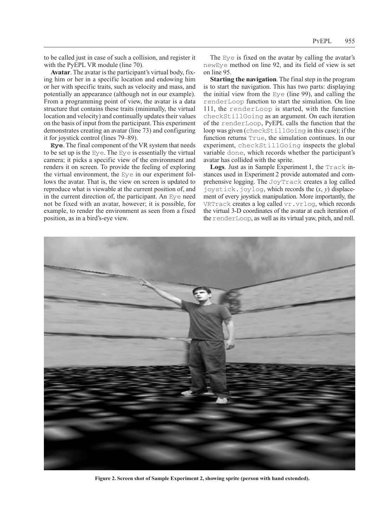to be called just in case of such a collision, and register it with the PyEPL VR module (line 70).

**Avatar**. The avatar is the participant's virtual body, fixing him or her in a specific location and endowing him or her with specific traits, such as velocity and mass, and potentially an appearance (although not in our example). From a programming point of view, the avatar is a data structure that contains these traits (minimally, the virtual location and velocity) and continually updates their values on the basis of input from the participant. This experiment demonstrates creating an avatar (line 73) and configuring it for joystick control (lines 79–89).

**Eye**. The final component of the VR system that needs to be set up is the Eye. The Eye is essentially the virtual camera; it picks a specific view of the environment and renders it on screen. To provide the feeling of exploring the virtual environment, the Eye in our experiment follows the avatar. That is, the view on screen is updated to reproduce what is viewable at the current position of, and in the current direction of, the participant. An Eye need not be fixed with an avatar, however; it is possible, for example, to render the environment as seen from a fixed position, as in a bird's-eye view.

The Eye is fixed on the avatar by calling the avatar's newEye method on line 92, and its field of view is set on line 95.

**Starting the navigation**. The final step in the program is to start the navigation. This has two parts: displaying the initial view from the Eye (line 99), and calling the renderLoop function to start the simulation. On line 111, the renderLoop is started, with the function checkStillGoing as an argument. On each iteration of the renderLoop, PyEPL calls the function that the loop was given (checkStillGoing in this case); if the function returns True, the simulation continues. In our experiment, checkStillGoing inspects the global variable done, which records whether the participant's avatar has collided with the sprite.

**Logs**. Just as in Sample Experiment 1, the Track instances used in Experiment 2 provide automated and comprehensive logging. The JoyTrack creates a log called joystick.joylog, which records the (*x*, *y*) displacement of every joystick manipulation. More importantly, the VRTrack creates a log called vr.vrlog, which records the virtual 3-D coordinates of the avatar at each iteration of the renderLoop, as well as its virtual yaw, pitch, and roll.



**Figure 2. Screen shot of Sample Experiment 2, showing sprite (person with hand extended).**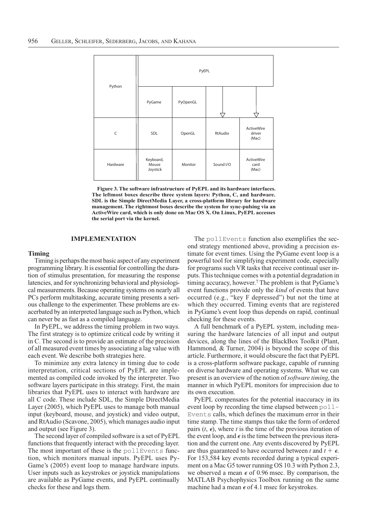

**Figure 3. The software infrastructure of PyEPL and its hardware interfaces. The leftmost boxes describe three system layers: Python, C, and hardware. SDL is the Simple DirectMedia Layer, a cross-platform library for hardware management. The rightmost boxes describe the system for sync-pulsing via an ActiveWire card, which is only done on Mac OS X. On Linux, PyEPL accesses the serial port via the kernel.**

# **IMPLEMENTATION**

#### **Timing**

Timing is perhaps the most basic aspect of any experiment programming library. It is essential for controlling the duration of stimulus presentation, for measuring the response latencies, and for synchronizing behavioral and physiological measurements. Because operating systems on nearly all PCs perform multitasking, accurate timing presents a serious challenge to the experimenter. These problems are exacerbated by an interpreted language such as Python, which can never be as fast as a compiled language.

In PyEPL, we address the timing problem in two ways. The first strategy is to optimize critical code by writing it in C. The second is to provide an estimate of the precision of all measured event times by associating a lag value with each event. We describe both strategies here.

To minimize any extra latency in timing due to code interpretation, critical sections of PyEPL are implemented as compiled code invoked by the interpreter. Two software layers participate in this strategy. First, the main libraries that PyEPL uses to interact with hardware are all C code. These include SDL, the Simple DirectMedia Layer (2005), which PyEPL uses to manage both manual input (keyboard, mouse, and joystick) and video output, and RtAudio (Scavone, 2005), which manages audio input and output (see Figure 3).

The second layer of compiled software is a set of PyEPL functions that frequently interact with the preceding layer. The most important of these is the pollEvents function, which monitors manual inputs. PyEPL uses Py-Game's (2005) event loop to manage hardware inputs. User inputs such as keystrokes or joystick manipulations are available as PyGame events, and PyEPL continually checks for these and logs them.

The pollEvents function also exemplifies the second strategy mentioned above, providing a precision estimate for event times. Using the PyGame event loop is a powerful tool for simplifying experiment code, especially for programs such VR tasks that receive continual user inputs. This technique comes with a potential degradation in timing accuracy, however.7 The problem is that PyGame's event functions provide only the *kind* of events that have occurred (e.g., "key F depressed") but not the time at which they occurred. Timing events that are registered in PyGame's event loop thus depends on rapid, continual checking for these events.

A full benchmark of a PyEPL system, including measuring the hardware latencies of all input and output devices, along the lines of the BlackBox Toolkit (Plant, Hammond, & Turner, 2004) is beyond the scope of this article. Furthermore, it would obscure the fact that PyEPL is a cross-platform software package, capable of running on diverse hardware and operating systems. What we can present is an overview of the notion of *software timing*, the manner in which PyEPL monitors for imprecision due to its own execution.

PyEPL compensates for the potential inaccuracy in its event loop by recording the time elapsed between  $p$ <sup>-1</sup> Events calls, which defines the maximum error in their time stamp. The time stamps thus take the form of ordered pairs  $(t, \epsilon)$ , where *t* is the time of the previous iteration of the event loop, and  $\epsilon$  is the time between the previous iteration and the current one. Any events discovered by PyEPL are thus guaranteed to have occurred between *t* and  $t + \epsilon$ . For 153,584 key events recorded during a typical experiment on a Mac G5 tower running OS 10.3 with Python 2.3, we observed a mean  $\epsilon$  of 0.96 msec. By comparison, the MATLAB Psychophysics Toolbox running on the same machine had a mean  $\epsilon$  of 4.1 msec for keystrokes.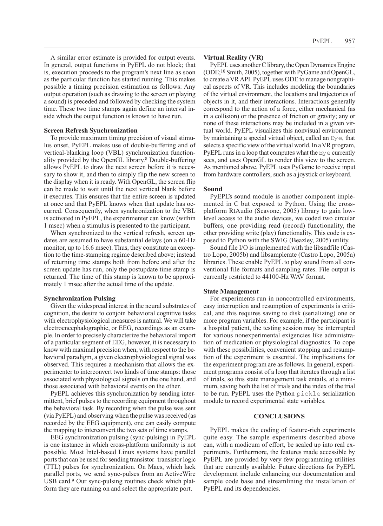A similar error estimate is provided for output events. In general, output functions in PyEPL do not block; that is, execution proceeds to the program's next line as soon as the particular function has started running. This makes possible a timing precision estimation as follows: Any output operation (such as drawing to the screen or playing a sound) is preceded and followed by checking the system time. These two time stamps again define an interval inside which the output function is known to have run.

## **Screen Refresh Synchronization**

To provide maximum timing precision of visual stimulus onset, PyEPL makes use of double-buffering and of vertical-blanking loop (VBL) synchronization functionality provided by the OpenGL library.8 Double-buffering allows PyEPL to draw the next screen before it is necessary to show it, and then to simply flip the new screen to the display when it is ready. With OpenGL, the screen flip can be made to wait until the next vertical blank before it executes. This ensures that the entire screen is updated at once and that PyEPL knows when that update has occurred. Consequently, when synchronization to the VBL is activated in PyEPL, the experimenter can know (within 1 msec) when a stimulus is presented to the participant.

When synchronized to the vertical refresh, screen updates are assumed to have substantial delays (on a 60-Hz monitor, up to 16.6 msec). Thus, they constitute an exception to the time-stamping regime described above; instead of returning time stamps both from before and after the screen update has run, only the postupdate time stamp is returned. The time of this stamp is known to be approximately 1 msec after the actual time of the update.

### **Synchronization Pulsing**

Given the widespread interest in the neural substrates of cognition, the desire to conjoin behavioral cognitive tasks with electrophysiological measures is natural. We will take electroencephalographic, or EEG, recordings as an example. In order to precisely characterize the behavioral import of a particular segment of EEG, however, it is necessary to know with maximal precision when, with respect to the behavioral paradigm, a given electrophysiological signal was observed. This requires a mechanism that allows the experimenter to interconvert two kinds of time stamps: those associated with physiological signals on the one hand, and those associated with behavioral events on the other.

PyEPL achieves this synchronization by sending intermittent, brief pulses to the recording equipment throughout the behavioral task. By recording when the pulse was sent (via PyEPL) and observing when the pulse was received (as recorded by the EEG equipment), one can easily compute the mapping to interconvert the two sets of time stamps.

EEG synchronization pulsing (sync-pulsing) in PyEPL is one instance in which cross-platform uniformity is not possible. Most Intel-based Linux systems have parallel ports that can be used for sending transistor–transistor logic (TTL) pulses for synchronization. On Macs, which lack parallel ports, we send sync-pulses from an ActiveWire USB card.9 Our sync-pulsing routines check which platform they are running on and select the appropriate port.

# **Virtual Reality (VR)**

PyEPL uses another C library, the Open Dynamics Engine (ODE;10 Smith, 2005), together with PyGame and OpenGL, to create a VR API. PyEPL uses ODE to manage nongraphical aspects of VR. This includes modeling the boundaries of the virtual environment, the locations and trajectories of objects in it, and their interactions. Interactions generally correspond to the action of a force, either mechanical (as in a collision) or the presence of friction or gravity; any or none of these interactions may be included in a given virtual world. PyEPL visualizes this nonvisual environment by maintaining a special virtual object, called an Eye, that selects a specific view of the virtual world. In a VR program, PyEPL runs in a loop that computes what the Eye currently sees, and uses OpenGL to render this view to the screen. As mentioned above, PyEPL uses PyGame to receive input from hardware controllers, such as a joystick or keyboard.

# **Sound**

PyEPL's sound module is another component implemented in C but exposed to Python. Using the crossplatform RtAudio (Scavone, 2005) library to gain lowlevel access to the audio devices, we coded two circular buffers, one providing read (record) functionality, the other providing write (play) functionality. This code is exposed to Python with the SWIG (Beazley, 2005) utility.

Sound file I/O is implemented with the libsndfile (Castro Lopo, 2005b) and libsamplerate (Castro Lopo, 2005a) libraries. These enable PyEPL to play sound from all conventional file formats and sampling rates. File output is currently restricted to 44100-Hz WAV format.

#### **State Management**

For experiments run in noncontrolled environments, easy interruption and resumption of experiments is critical, and this requires saving to disk (serializing) one or more program variables. For example, if the participant is a hospital patient, the testing session may be interrupted for various nonexperimental exigencies like administration of medication or physiological diagnostics. To cope with these possibilities, convenient stopping and resumption of the experiment is essential. The implications for the experiment program are as follows. In general, experiment programs consist of a loop that iterates through a list of trials, so this state management task entails, at a minimum, saving both the list of trials and the index of the trial to be run. PyEPL uses the Python pickle serialization module to record experimental state variables.

## **CONCLUSIONS**

PyEPL makes the coding of feature-rich experiments quite easy. The sample experiments described above can, with a modicum of effort, be scaled up into real experiments. Furthermore, the features made accessible by PyEPL are provided by very few programming utilities that are currently available. Future directions for PyEPL development include enhancing our documentation and sample code base and streamlining the installation of PyEPL and its dependencies.